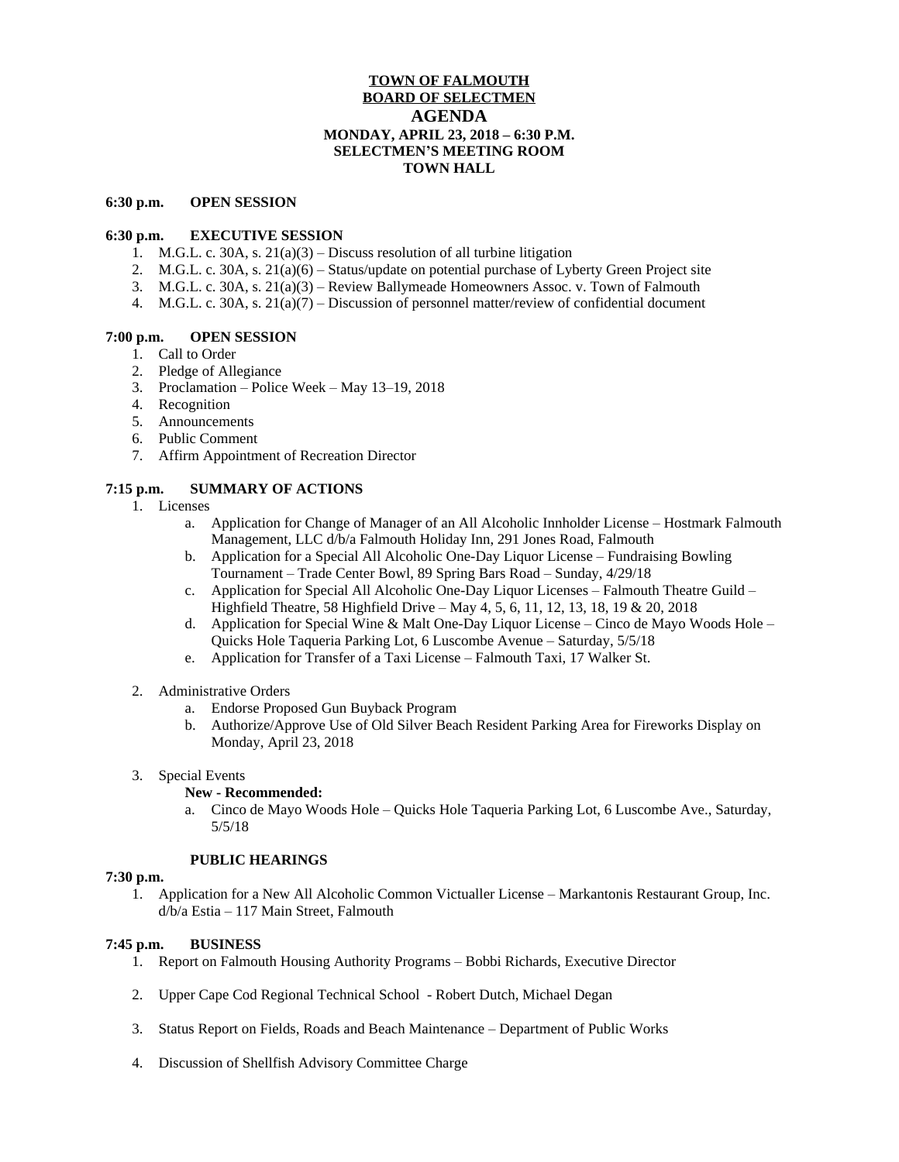# **TOWN OF FALMOUTH BOARD OF SELECTMEN AGENDA MONDAY, APRIL 23, 2018 – 6:30 P.M. SELECTMEN'S MEETING ROOM TOWN HALL**

#### **6:30 p.m. OPEN SESSION**

### **6:30 p.m. EXECUTIVE SESSION**

- 1. M.G.L. c. 30A, s.  $21(a)(3)$  Discuss resolution of all turbine litigation
- 2. M.G.L. c. 30A, s. 21(a)(6) Status/update on potential purchase of Lyberty Green Project site
- 3. M.G.L. c. 30A, s. 21(a)(3) Review Ballymeade Homeowners Assoc. v. Town of Falmouth
- 4. M.G.L. c. 30A, s. 21(a)(7) Discussion of personnel matter/review of confidential document

### **7:00 p.m. OPEN SESSION**

- 1. Call to Order
- 2. Pledge of Allegiance
- 3. Proclamation Police Week May 13–19, 2018
- 4. Recognition
- 5. Announcements
- 6. Public Comment
- 7. Affirm Appointment of Recreation Director

## **7:15 p.m. SUMMARY OF ACTIONS**

- 1. Licenses
	- a. Application for Change of Manager of an All Alcoholic Innholder License Hostmark Falmouth Management, LLC d/b/a Falmouth Holiday Inn, 291 Jones Road, Falmouth
	- b. Application for a Special All Alcoholic One-Day Liquor License Fundraising Bowling Tournament – Trade Center Bowl, 89 Spring Bars Road – Sunday, 4/29/18
	- c. Application for Special All Alcoholic One-Day Liquor Licenses Falmouth Theatre Guild Highfield Theatre, 58 Highfield Drive – May 4, 5, 6, 11, 12, 13, 18, 19 & 20, 2018
	- d. Application for Special Wine & Malt One-Day Liquor License Cinco de Mayo Woods Hole Quicks Hole Taqueria Parking Lot, 6 Luscombe Avenue – Saturday, 5/5/18
	- e. Application for Transfer of a Taxi License Falmouth Taxi, 17 Walker St.
- 2. Administrative Orders
	- a. Endorse Proposed Gun Buyback Program
	- b. Authorize/Approve Use of Old Silver Beach Resident Parking Area for Fireworks Display on Monday, April 23, 2018
- 3. Special Events

### **New - Recommended:**

a. Cinco de Mayo Woods Hole – Quicks Hole Taqueria Parking Lot, 6 Luscombe Ave., Saturday, 5/5/18

### **PUBLIC HEARINGS**

### **7:30 p.m.**

1. Application for a New All Alcoholic Common Victualler License – Markantonis Restaurant Group, Inc. d/b/a Estia – 117 Main Street, Falmouth

## **7:45 p.m. BUSINESS**

- 1. Report on Falmouth Housing Authority Programs Bobbi Richards, Executive Director
- 2. Upper Cape Cod Regional Technical School Robert Dutch, Michael Degan
- 3. Status Report on Fields, Roads and Beach Maintenance Department of Public Works
- 4. Discussion of Shellfish Advisory Committee Charge